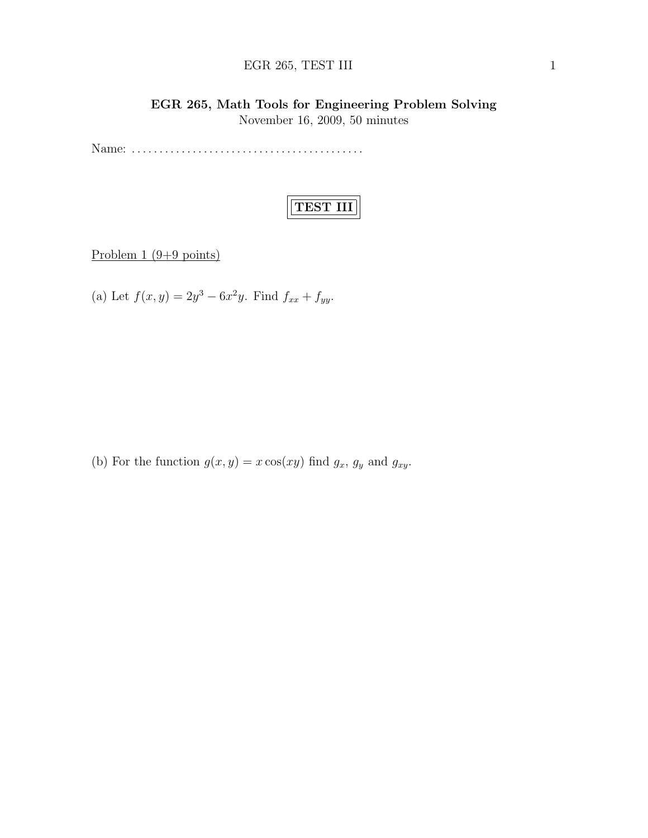## EGR 265, TEST III 1

## EGR 265, Math Tools for Engineering Problem Solving November 16, 2009, 50 minutes

Name: . . . . . . . . . . . . . . . . . . . . . . . . . . . . . . . . . . . . . . . . . .

# TEST III

Problem 1 (9+9 points)

(a) Let  $f(x, y) = 2y^3 - 6x^2y$ . Find  $f_{xx} + f_{yy}$ .

(b) For the function  $g(x, y) = x \cos(xy)$  find  $g_x$ ,  $g_y$  and  $g_{xy}$ .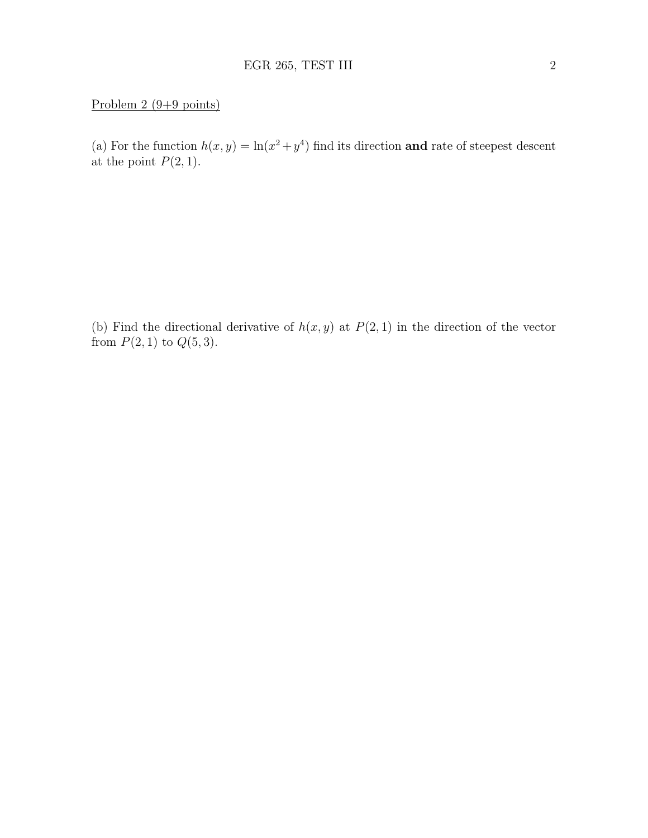### Problem 2 (9+9 points)

(a) For the function  $h(x, y) = \ln(x^2 + y^4)$  find its direction and rate of steepest descent at the point  $P(2, 1)$ .

(b) Find the directional derivative of  $h(x, y)$  at  $P(2, 1)$  in the direction of the vector from  $P(2, 1)$  to  $Q(5, 3)$ .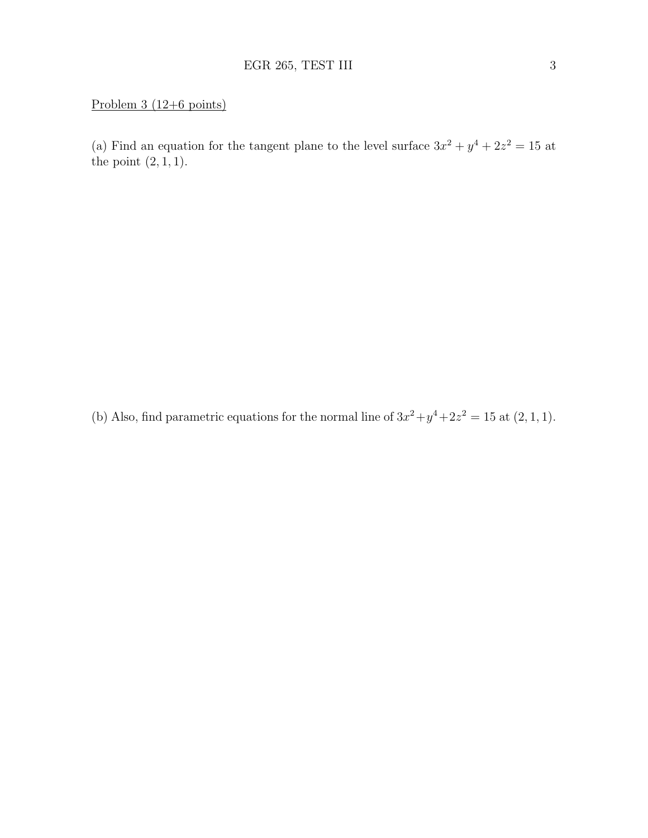## Problem 3 (12+6 points)

(a) Find an equation for the tangent plane to the level surface  $3x^2 + y^4 + 2z^2 = 15$  at the point  $(2, 1, 1)$ .

(b) Also, find parametric equations for the normal line of  $3x^2 + y^4 + 2z^2 = 15$  at  $(2, 1, 1)$ .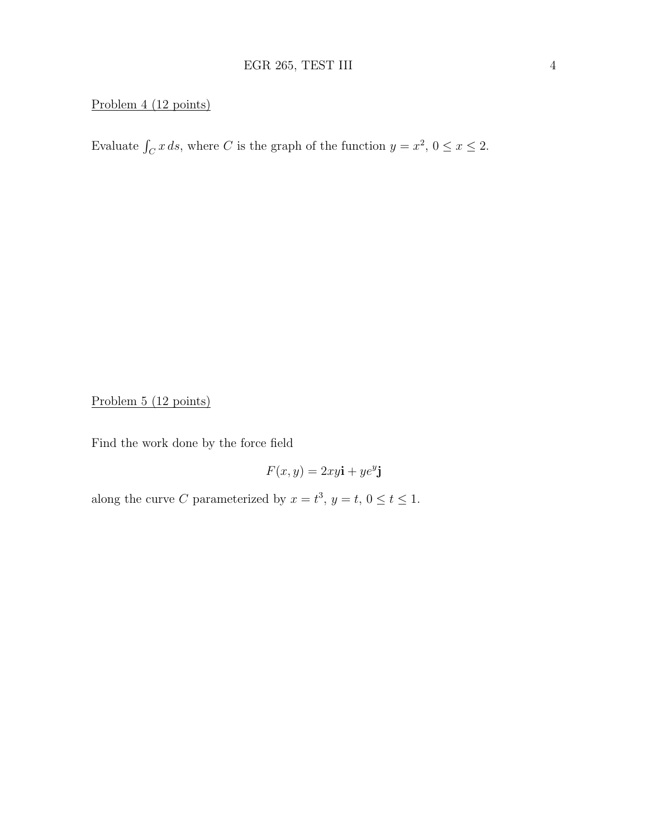## Problem 4 (12 points)

Evaluate  $\int_C x \, ds$ , where C is the graph of the function  $y = x^2$ ,  $0 \le x \le 2$ .

Problem 5 (12 points)

Find the work done by the force field

$$
F(x, y) = 2xy\mathbf{i} + ye^y\mathbf{j}
$$

along the curve C parameterized by  $x = t^3$ ,  $y = t$ ,  $0 \le t \le 1$ .